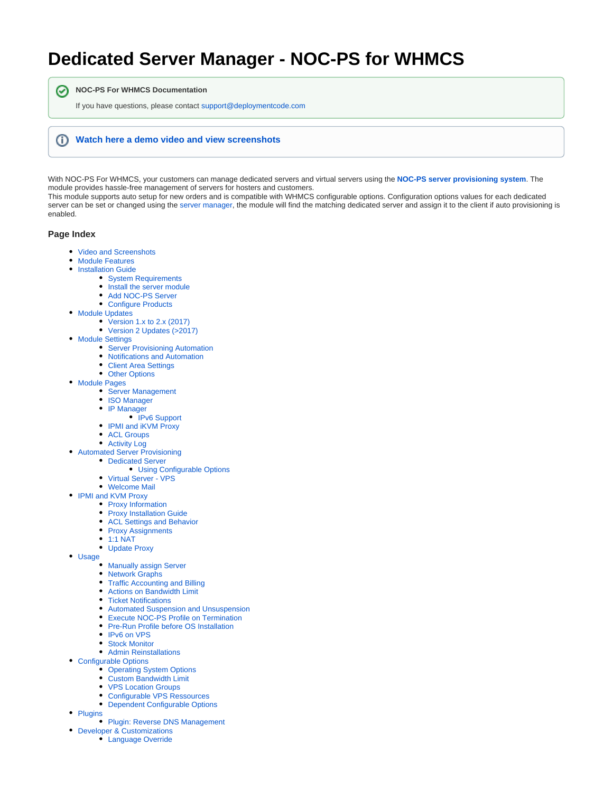## <span id="page-0-0"></span>**Dedicated Server Manager - NOC-PS for WHMCS**

**NOC-PS For WHMCS Documentation**

If you have questions, please contact [support@deploymentcode.com](mailto:support@deploymentcode.com)

## ന **[Watch here a demo video and view screenshots](https://documentation.deploymentcode.com/display/NOCPS/Video+and+Screenshots)**

With NOC-PS For WHMCS, your customers can manage dedicated servers and virtual servers using the **[NOC-PS server provisioning system](https://www.noc-ps.com/)**. The module provides hassle-free management of servers for hosters and customers.

This module supports auto setup for new orders and is compatible with WHMCS configurable options. Configuration options values for each dedicated server can be set or changed using the [server manager](#page-0-0), the module will find the matching dedicated server and assign it to the client if auto provisioning is enabled.

## **Page Index**

の

- [Video and Screenshots](https://documentation.deploymentcode.com/display/NOCPS/Video+and+Screenshots)
- [Module Features](https://documentation.deploymentcode.com/display/NOCPS/Module+Features)
- **[Installation Guide](https://documentation.deploymentcode.com/display/NOCPS/Installation+Guide)** 
	- [System Requirements](https://documentation.deploymentcode.com/display/NOCPS/System+Requirements)
	- [Install the server module](https://documentation.deploymentcode.com/display/NOCPS/Install+the+server+module)
	- [Add NOC-PS Server](https://documentation.deploymentcode.com/display/NOCPS/Add+NOC-PS+Server)
	- [Configure Products](https://documentation.deploymentcode.com/display/NOCPS/Configure+Products)
- [Module Updates](https://documentation.deploymentcode.com/display/NOCPS/Module+Updates)
	- [Version 1.x to 2.x \(2017\)](https://documentation.deploymentcode.com/pages/viewpage.action?pageId=65755)
	- [Version 2 Updates \(>2017\)](https://documentation.deploymentcode.com/pages/viewpage.action?pageId=65757)
- [Module Settings](https://documentation.deploymentcode.com/display/NOCPS/Module+Settings)
	- **[Server Provisioning Automation](https://documentation.deploymentcode.com/display/NOCPS/Server+Provisioning+Automation)**
	- [Notifications and Automation](https://documentation.deploymentcode.com/display/NOCPS/Notifications+and+Automation)
	- [Client Area Settings](https://documentation.deploymentcode.com/display/NOCPS/Client+Area+Settings)
	- [Other Options](https://documentation.deploymentcode.com/display/NOCPS/Other+Options)
- [Module Pages](https://documentation.deploymentcode.com/display/NOCPS/Module+Pages)
	- [Server Management](https://documentation.deploymentcode.com/display/NOCPS/Server+Management)
		- [ISO Manager](https://documentation.deploymentcode.com/display/NOCPS/ISO+Manager)
		- [IP Manager](https://documentation.deploymentcode.com/display/NOCPS/IP+Manager)
			- [IPv6 Support](https://documentation.deploymentcode.com/display/NOCPS/IPv6+Support)
		- [IPMI and iKVM Proxy](https://documentation.deploymentcode.com/display/NOCPS/IPMI+and+iKVM+Proxy)
		- [ACL Groups](https://documentation.deploymentcode.com/display/NOCPS/ACL+Groups)
	- [Activity Log](https://documentation.deploymentcode.com/display/NOCPS/Activity+Log)
- [Automated Server Provisioning](https://documentation.deploymentcode.com/display/NOCPS/Automated+Server+Provisioning)
	- [Dedicated Server](https://documentation.deploymentcode.com/display/NOCPS/Dedicated+Server)
		- [Using Configurable Options](https://documentation.deploymentcode.com/display/NOCPS/Using+Configurable+Options)
	- [Virtual Server VPS](https://documentation.deploymentcode.com/display/NOCPS/Virtual+Server+-+VPS)
	- [Welcome Mail](https://documentation.deploymentcode.com/display/NOCPS/Welcome+Mail)
- [IPMI and KVM Proxy](https://documentation.deploymentcode.com/display/NOCPS/IPMI+and+KVM+Proxy)
	- [Proxy Information](https://documentation.deploymentcode.com/display/NOCPS/Proxy+Information)
		- [Proxy Installation Guide](https://documentation.deploymentcode.com/display/NOCPS/Proxy+Installation+Guide)
		- [ACL Settings and Behavior](https://documentation.deploymentcode.com/display/NOCPS/ACL+Settings+and+Behavior)
		- [Proxy Assignments](https://documentation.deploymentcode.com/display/NOCPS/Proxy+Assignments)
		- $1:1$  NAT
		- [Update Proxy](https://documentation.deploymentcode.com/display/NOCPS/Update+Proxy)
- [Usage](https://documentation.deploymentcode.com/display/NOCPS/Usage)
	- [Manually assign Server](https://documentation.deploymentcode.com/display/NOCPS/Manually+assign+Server)
	- [Network Graphs](https://documentation.deploymentcode.com/display/NOCPS/Network+Graphs)
	- [Traffic Accounting and Billing](https://documentation.deploymentcode.com/display/NOCPS/Traffic+Accounting+and+Billing)
	- [Actions on Bandwidth Limit](https://documentation.deploymentcode.com/display/NOCPS/Actions+on+Bandwidth+Limit)
	- [Ticket Notifications](https://documentation.deploymentcode.com/display/NOCPS/Ticket+Notifications)
	- [Automated Suspension and Unsuspension](https://documentation.deploymentcode.com/display/NOCPS/Automated+Suspension+and+Unsuspension)
	- [Execute NOC-PS Profile on Termination](https://documentation.deploymentcode.com/display/NOCPS/Execute+NOC-PS+Profile+on+Termination)
	- [Pre-Run Profile before OS Installation](https://documentation.deploymentcode.com/display/NOCPS/Pre-Run+Profile+before+OS+Installation)
	- [IPv6 on VPS](https://documentation.deploymentcode.com/display/NOCPS/IPv6+on+VPS)
	- [Stock Monitor](https://documentation.deploymentcode.com/display/NOCPS/Stock+Monitor)
	- [Admin Reinstallations](https://documentation.deploymentcode.com/display/NOCPS/Admin+Reinstallations)
- [Configurable Options](https://documentation.deploymentcode.com/display/NOCPS/Configurable+Options)
	- [Operating System Options](https://documentation.deploymentcode.com/display/NOCPS/Operating+System+Options)
	- [Custom Bandwidth Limit](https://documentation.deploymentcode.com/display/NOCPS/Custom+Bandwidth+Limit)
	- [VPS Location Groups](https://documentation.deploymentcode.com/display/NOCPS/VPS+Location+Groups)
	- [Configurable VPS Ressources](https://documentation.deploymentcode.com/display/NOCPS/Configurable+VPS+Ressources)
	- [Dependent Configurable Options](https://documentation.deploymentcode.com/display/NOCPS/Dependent+Configurable+Options)
- [Plugins](https://documentation.deploymentcode.com/display/NOCPS/Plugins)
	- [Plugin: Reverse DNS Management](https://documentation.deploymentcode.com/display/NOCPS/Plugin%3A+Reverse+DNS+Management)
- [Developer & Customizations](https://documentation.deploymentcode.com/pages/viewpage.action?pageId=65687)
	- [Language Override](https://documentation.deploymentcode.com/display/NOCPS/Language+Override)